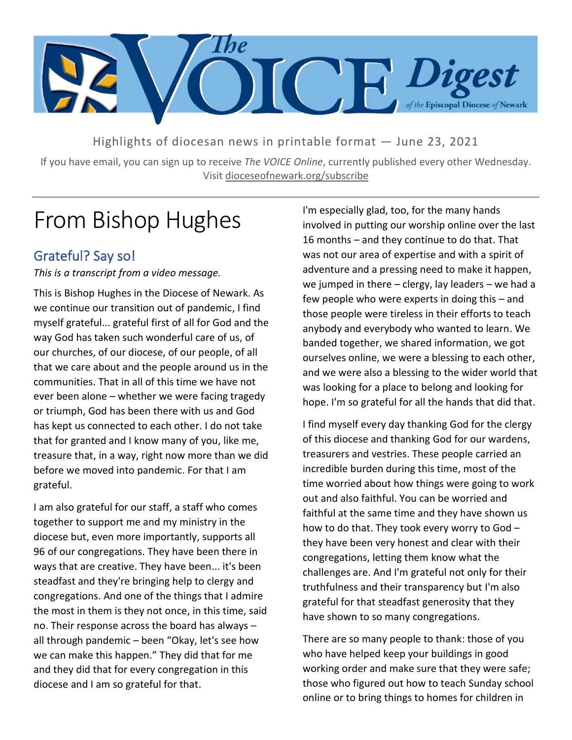

Highlights of diocesan news in printable format — June 23, 2021

If you have email, you can sign up to receive *The VOICE Online*, currently published every other Wednesday. Visit dioceseofnewark.org/subscribe

# From Bishop Hughes

### Grateful? Say so!

*This is a transcript from a video message.*

This is Bishop Hughes in the Diocese of Newark. As we continue our transition out of pandemic, I find myself grateful... grateful first of all for God and the way God has taken such wonderful care of us, of our churches, of our diocese, of our people, of all that we care about and the people around us in the communities. That in all of this time we have not ever been alone – whether we were facing tragedy or triumph, God has been there with us and God has kept us connected to each other. I do not take that for granted and I know many of you, like me, treasure that, in a way, right now more than we did before we moved into pandemic. For that I am grateful.

I am also grateful for our staff, a staff who comes together to support me and my ministry in the diocese but, even more importantly, supports all 96 of our congregations. They have been there in ways that are creative. They have been... it's been steadfast and they're bringing help to clergy and congregations. And one of the things that I admire the most in them is they not once, in this time, said no. Their response across the board has always – all through pandemic – been "Okay, let's see how we can make this happen." They did that for me and they did that for every congregation in this diocese and I am so grateful for that.

I'm especially glad, too, for the many hands involved in putting our worship online over the last 16 months – and they continue to do that. That was not our area of expertise and with a spirit of adventure and a pressing need to make it happen, we jumped in there  $-$  clergy, lay leaders  $-$  we had a few people who were experts in doing this – and those people were tireless in their efforts to teach anybody and everybody who wanted to learn. We banded together, we shared information, we got ourselves online, we were a blessing to each other, and we were also a blessing to the wider world that was looking for a place to belong and looking for hope. I'm so grateful for all the hands that did that.

I find myself every day thanking God for the clergy of this diocese and thanking God for our wardens, treasurers and vestries. These people carried an incredible burden during this time, most of the time worried about how things were going to work out and also faithful. You can be worried and faithful at the same time and they have shown us how to do that. They took every worry to God – they have been very honest and clear with their congregations, letting them know what the challenges are. And I'm grateful not only for their truthfulness and their transparency but I'm also grateful for that steadfast generosity that they have shown to so many congregations.

There are so many people to thank: those of you who have helped keep your buildings in good working order and make sure that they were safe; those who figured out how to teach Sunday school online or to bring things to homes for children in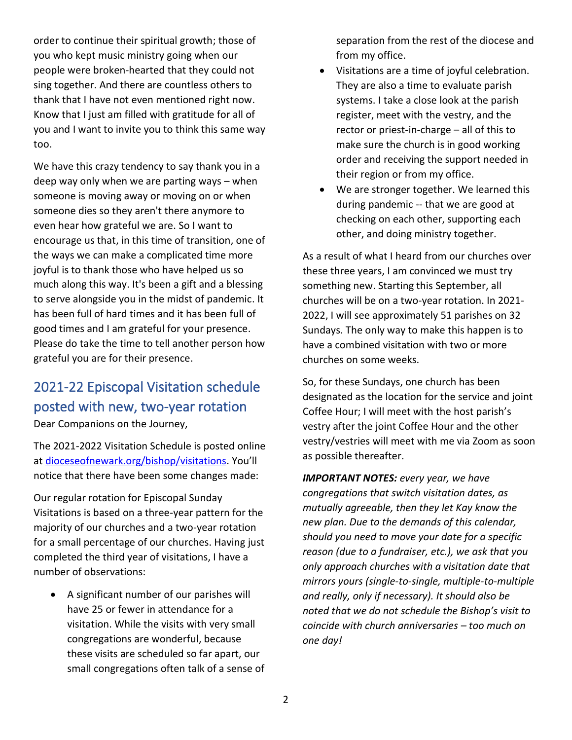order to continue their spiritual growth; those of you who kept music ministry going when our people were broken-hearted that they could not sing together. And there are countless others to thank that I have not even mentioned right now. Know that I just am filled with gratitude for all of you and I want to invite you to think this same way too.

We have this crazy tendency to say thank you in a deep way only when we are parting ways – when someone is moving away or moving on or when someone dies so they aren't there anymore to even hear how grateful we are. So I want to encourage us that, in this time of transition, one of the ways we can make a complicated time more joyful is to thank those who have helped us so much along this way. It's been a gift and a blessing to serve alongside you in the midst of pandemic. It has been full of hard times and it has been full of good times and I am grateful for your presence. Please do take the time to tell another person how grateful you are for their presence.

## 2021-22 Episcopal Visitation schedule posted with new, two-year rotation

Dear Companions on the Journey,

The 2021-2022 Visitation Schedule is posted online at [dioceseofnewark.org/bishop/visitations](https://dioceseofnewark.org/bishop/visitations). You'll notice that there have been some changes made:

Our regular rotation for Episcopal Sunday Visitations is based on a three-year pattern for the majority of our churches and a two-year rotation for a small percentage of our churches. Having just completed the third year of visitations, I have a number of observations:

• A significant number of our parishes will have 25 or fewer in attendance for a visitation. While the visits with very small congregations are wonderful, because these visits are scheduled so far apart, our small congregations often talk of a sense of separation from the rest of the diocese and from my office.

- Visitations are a time of joyful celebration. They are also a time to evaluate parish systems. I take a close look at the parish register, meet with the vestry, and the rector or priest-in-charge – all of this to make sure the church is in good working order and receiving the support needed in their region or from my office.
- We are stronger together. We learned this during pandemic -- that we are good at checking on each other, supporting each other, and doing ministry together.

As a result of what I heard from our churches over these three years, I am convinced we must try something new. Starting this September, all churches will be on a two-year rotation. In 2021- 2022, I will see approximately 51 parishes on 32 Sundays. The only way to make this happen is to have a combined visitation with two or more churches on some weeks.

So, for these Sundays, one church has been designated as the location for the service and joint Coffee Hour; I will meet with the host parish's vestry after the joint Coffee Hour and the other vestry/vestries will meet with me via Zoom as soon as possible thereafter.

*IMPORTANT NOTES: every year, we have congregations that switch visitation dates, as mutually agreeable, then they let Kay know the new plan. Due to the demands of this calendar, should you need to move your date for a specific reason (due to a fundraiser, etc.), we ask that you only approach churches with a visitation date that mirrors yours (single-to-single, multiple-to-multiple and really, only if necessary). It should also be noted that we do not schedule the Bishop's visit to coincide with church anniversaries – too much on one day!*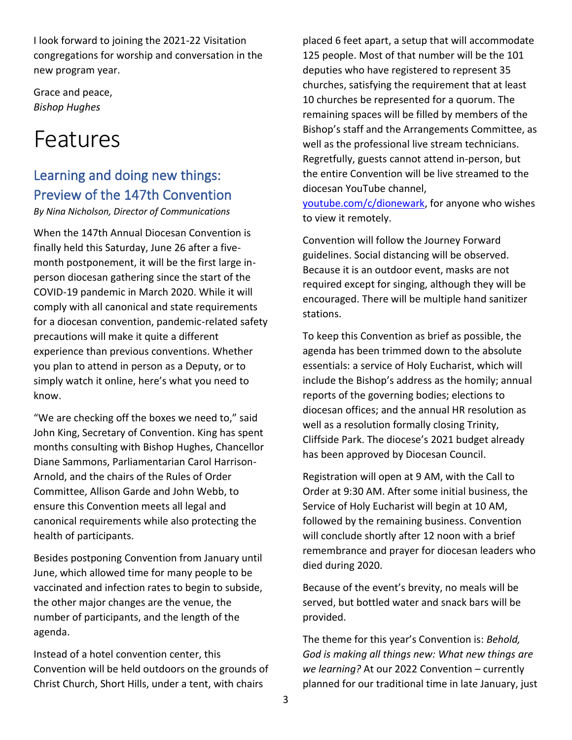I look forward to joining the 2021-22 Visitation congregations for worship and conversation in the new program year.

Grace and peace, *Bishop Hughes*

# Features

## Learning and doing new things: Preview of the 147th Convention

*By Nina Nicholson, Director of Communications*

When the 147th Annual Diocesan Convention is finally held this Saturday, June 26 after a fivemonth postponement, it will be the first large inperson diocesan gathering since the start of the COVID-19 pandemic in March 2020. While it will comply with all canonical and state requirements for a diocesan convention, pandemic-related safety precautions will make it quite a different experience than previous conventions. Whether you plan to attend in person as a Deputy, or to simply watch it online, here's what you need to know.

"We are checking off the boxes we need to," said John King, Secretary of Convention. King has spent months consulting with Bishop Hughes, Chancellor Diane Sammons, Parliamentarian Carol Harrison-Arnold, and the chairs of the Rules of Order Committee, Allison Garde and John Webb, to ensure this Convention meets all legal and canonical requirements while also protecting the health of participants.

Besides postponing Convention from January until June, which allowed time for many people to be vaccinated and infection rates to begin to subside, the other major changes are the venue, the number of participants, and the length of the agenda.

Instead of a hotel convention center, this Convention will be held outdoors on the grounds of Christ Church, Short Hills, under a tent, with chairs

placed 6 feet apart, a setup that will accommodate 125 people. Most of that number will be the 101 deputies who have registered to represent 35 churches, satisfying the requirement that at least 10 churches be represented for a quorum. The remaining spaces will be filled by members of the Bishop's staff and the Arrangements Committee, as well as the professional live stream technicians. Regretfully, guests cannot attend in-person, but the entire Convention will be live streamed to the diocesan YouTube channel,

[youtube.com/c/dionewark,](https://youtube.com/c/dionewark) for anyone who wishes to view it remotely.

Convention will follow the Journey Forward guidelines. Social distancing will be observed. Because it is an outdoor event, masks are not required except for singing, although they will be encouraged. There will be multiple hand sanitizer stations.

To keep this Convention as brief as possible, the agenda has been trimmed down to the absolute essentials: a service of Holy Eucharist, which will include the Bishop's address as the homily; annual reports of the governing bodies; elections to diocesan offices; and the annual HR resolution as well as a resolution formally closing Trinity, Cliffside Park. The diocese's 2021 budget already has been approved by Diocesan Council.

Registration will open at 9 AM, with the Call to Order at 9:30 AM. After some initial business, the Service of Holy Eucharist will begin at 10 AM, followed by the remaining business. Convention will conclude shortly after 12 noon with a brief remembrance and prayer for diocesan leaders who died during 2020.

Because of the event's brevity, no meals will be served, but bottled water and snack bars will be provided.

The theme for this year's Convention is: *Behold, God is making all things new: What new things are we learning?* At our 2022 Convention – currently planned for our traditional time in late January, just